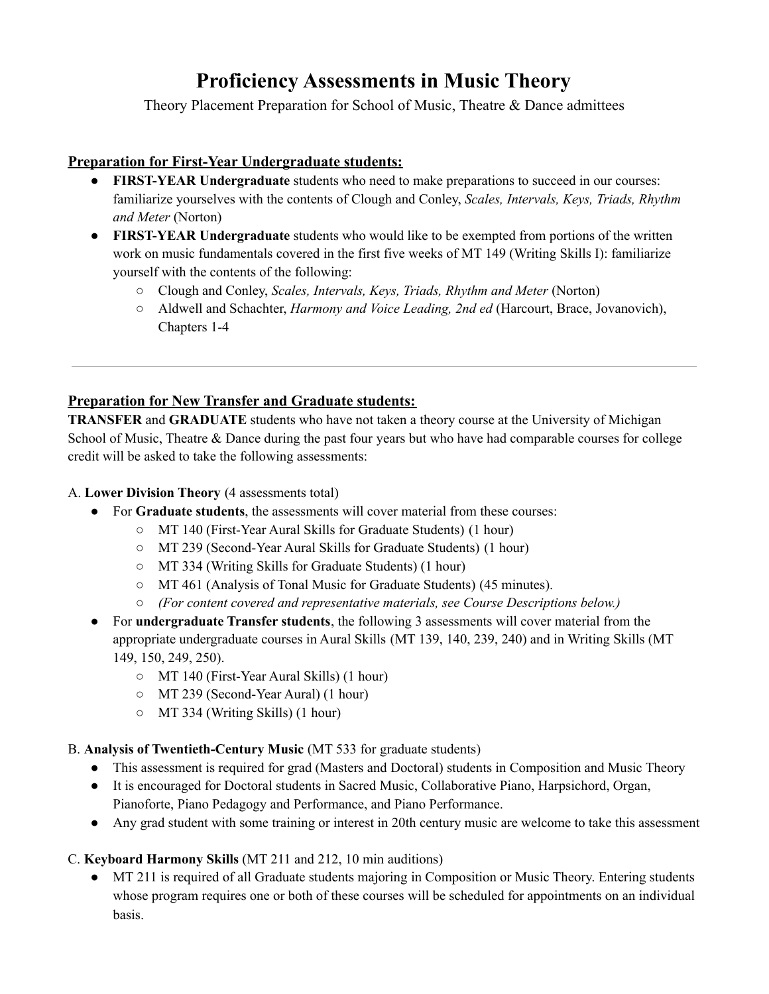# **Proficiency Assessments in Music Theory**

Theory Placement Preparation for School of Music, Theatre & Dance admittees

#### **Preparation for First-Year Undergraduate students:**

- **FIRST-YEAR Undergraduate** students who need to make preparations to succeed in our courses: familiarize yourselves with the contents of Clough and Conley, *Scales, Intervals, Keys, Triads, Rhythm and Meter* (Norton)
- **FIRST-YEAR Undergraduate** students who would like to be exempted from portions of the written work on music fundamentals covered in the first five weeks of MT 149 (Writing Skills I): familiarize yourself with the contents of the following:
	- Clough and Conley, *Scales, Intervals, Keys, Triads, Rhythm and Meter* (Norton)
	- Aldwell and Schachter, *Harmony and Voice Leading, 2nd ed* (Harcourt, Brace, Jovanovich), Chapters 1-4

## **Preparation for New Transfer and Graduate students:**

**TRANSFER** and **GRADUATE** students who have not taken a theory course at the University of Michigan School of Music, Theatre & Dance during the past four years but who have had comparable courses for college credit will be asked to take the following assessments:

#### A. **Lower Division Theory** (4 assessments total)

- For **Graduate students**, the assessments will cover material from these courses:
	- MT 140 (First-Year Aural Skills for Graduate Students) (1 hour)
	- MT 239 (Second-Year Aural Skills for Graduate Students) (1 hour)
	- MT 334 (Writing Skills for Graduate Students) (1 hour)
	- MT 461 (Analysis of Tonal Music for Graduate Students) (45 minutes).
	- *(For content covered and representative materials, see Course Descriptions below.)*
- For **undergraduate Transfer students**, the following 3 assessments will cover material from the appropriate undergraduate courses in Aural Skills (MT 139, 140, 239, 240) and in Writing Skills (MT 149, 150, 249, 250).
	- MT 140 (First-Year Aural Skills) (1 hour)
	- MT 239 (Second-Year Aural) (1 hour)
	- MT 334 (Writing Skills) (1 hour)

#### B. **Analysis of Twentieth-Century Music** (MT 533 for graduate students)

- This assessment is required for grad (Masters and Doctoral) students in Composition and Music Theory
- It is encouraged for Doctoral students in Sacred Music, Collaborative Piano, Harpsichord, Organ, Pianoforte, Piano Pedagogy and Performance, and Piano Performance.
- Any grad student with some training or interest in 20th century music are welcome to take this assessment

#### C. **Keyboard Harmony Skills** (MT 211 and 212, 10 min auditions)

• MT 211 is required of all Graduate students majoring in Composition or Music Theory. Entering students whose program requires one or both of these courses will be scheduled for appointments on an individual basis.